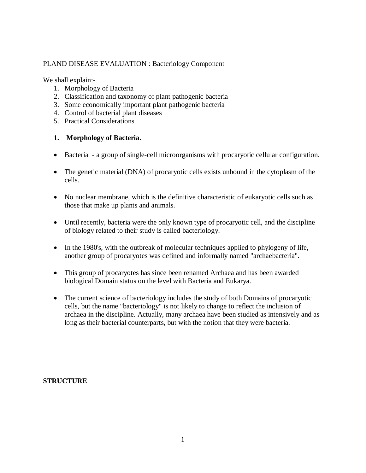# PLAND DISEASE EVALUATION : Bacteriology Component

We shall explain:-

- 1. Morphology of Bacteria
- 2. Classification and taxonomy of plant pathogenic bacteria
- 3. Some economically important plant pathogenic bacteria
- 4. Control of bacterial plant diseases
- 5. Practical Considerations

# **1. Morphology of Bacteria.**

- Bacteria a group of single-cell microorganisms with procaryotic cellular configuration.
- The genetic material (DNA) of procaryotic cells exists unbound in the cytoplasm of the cells.
- No nuclear membrane, which is the definitive characteristic of eukaryotic cells such as those that make up plants and animals.
- Until recently, bacteria were the only known type of procaryotic cell, and the discipline of biology related to their study is called bacteriology.
- In the 1980's, with the outbreak of molecular techniques applied to phylogeny of life, another group of procaryotes was defined and informally named "archaebacteria".
- This group of procaryotes has since been renamed Archaea and has been awarded biological Domain status on the level with Bacteria and Eukarya.
- The current science of bacteriology includes the study of both Domains of procaryotic cells, but the name "bacteriology" is not likely to change to reflect the inclusion of archaea in the discipline. Actually, many archaea have been studied as intensively and as long as their bacterial counterparts, but with the notion that they were bacteria.

## **STRUCTURE**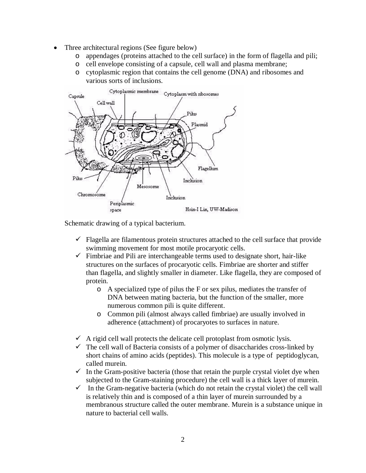- Three architectural regions (See figure below)
	- o appendages (proteins attached to the cell surface) in the form of flagella and pili;
	- o cell envelope consisting of a capsule, cell wall and plasma membrane;
	- o cytoplasmic region that contains the cell genome (DNA) and ribosomes and various sorts of inclusions.



Schematic drawing of a typical bacterium.

- $\checkmark$  Flagella are filamentous protein structures attached to the cell surface that provide swimming movement for most motile procaryotic cells.
- $\checkmark$  Fimbriae and Pili are interchangeable terms used to designate short, hair-like structures on the surfaces of procaryotic cells. Fimbriae are shorter and stiffer than flagella, and slightly smaller in diameter. Like flagella, they are composed of protein.
	- o A specialized type of pilus the F or sex pilus, mediates the transfer of DNA between mating bacteria, but the function of the smaller, more numerous common pili is quite different.
	- o Common pili (almost always called fimbriae) are usually involved in adherence (attachment) of procaryotes to surfaces in nature.
- $\checkmark$  A rigid cell wall protects the delicate cell protoplast from osmotic lysis.
- $\checkmark$  The cell wall of Bacteria consists of a polymer of disaccharides cross-linked by short chains of amino acids (peptides). This molecule is a type of peptidoglycan, called murein.
- $\checkmark$  In the Gram-positive bacteria (those that retain the purple crystal violet dye when subjected to the Gram-staining procedure) the cell wall is a thick layer of murein.
- $\checkmark$  In the Gram-negative bacteria (which do not retain the crystal violet) the cell wall is relatively thin and is composed of a thin layer of murein surrounded by a membranous structure called the outer membrane. Murein is a substance unique in nature to bacterial cell walls.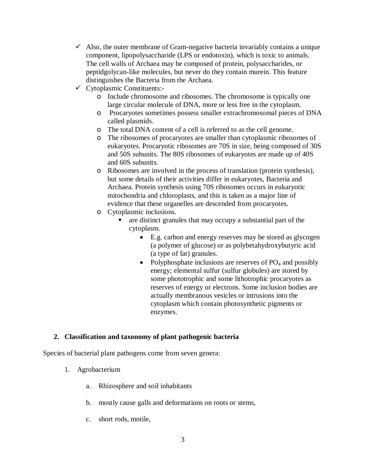- $\checkmark$  Also, the outer membrane of Gram-negative bacteria invariably contains a unique component, lipopolysaccharide (LPS or endotoxin), which is toxic to animals. The cell walls of Archaea may be composed of protein, polysaccharides, or peptidgolycan-like molecules, but never do they contain murein. This feature distinguishes the Bacteria from the Archaea.
- $\checkmark$  Cytoplasmic Constituents:
	- o Include chromosome and ribosomes. The chromosome is typically one large circular molecule of DNA, more or less free in the cytoplasm.
	- o Procaryotes sometimes possess smaller extrachromosomal pieces of DNA called plasmids.
	- o The total DNA content of a cell is referred to as the cell genome.
	- o The ribosomes of procaryotes are smaller than cytoplasmic ribosomes of eukaryotes. Procaryotic ribosomes are 70S in size, being composed of 30S and 50S subunits. The 80S ribosomes of eukaryotes are made up of 40S and 60S subunits.
	- o Ribosomes are involved in the process of translation (protein synthesis), but some details of their activities differ in eukaryotes, Bacteria and Archaea. Protein synthesis using 70S ribosomes occurs in eukaryotic mitochondria and chloroplasts, and this is taken as a major line of evidence that these organelles are descended from procaryotes.
	- o Cytoplasmic inclusions.
		- are distinct granules that may occupy a substantial part of the cytoplasm.
			- E.g. carbon and energy reserves may be stored as glycogen (a polymer of glucose) or as polybetahydroxybutyric acid (a type of fat) granules.
			- Polyphosphate inclusions are reserves of  $PO<sub>4</sub>$  and possibly energy; elemental sulfur (sulfur globules) are stored by some phototrophic and some lithotrophic procaryotes as reserves of energy or electrons. Some inclusion bodies are actually membranous vesicles or intrusions into the cytoplasm which contain photosynthetic pigments or enzymes.

## **2. Classification and taxonomy of plant pathogenic bacteria**

Species of bacterial plant pathogens come from seven genera:

- 1. Agrobacterium
	- a. Rhizosphere and soil inhabitants
	- b. mostly cause galls and deformations on roots or stems,
	- c. short rods, motile,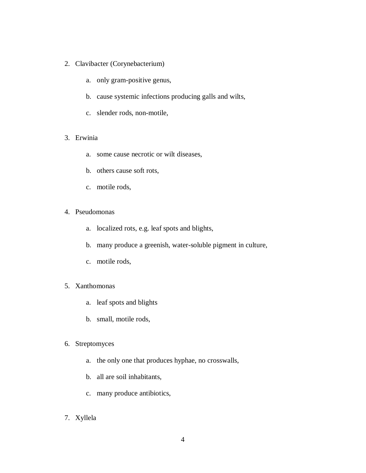- 2. Clavibacter (Corynebacterium)
	- a. only gram-positive genus,
	- b. cause systemic infections producing galls and wilts,
	- c. slender rods, non-motile,
- 3. Erwinia
	- a. some cause necrotic or wilt diseases,
	- b. others cause soft rots,
	- c. motile rods,
- 4. Pseudomonas
	- a. localized rots, e.g. leaf spots and blights,
	- b. many produce a greenish, water-soluble pigment in culture,
	- c. motile rods,
- 5. Xanthomonas
	- a. leaf spots and blights
	- b. small, motile rods,
- 6. Streptomyces
	- a. the only one that produces hyphae, no crosswalls,
	- b. all are soil inhabitants,
	- c. many produce antibiotics,
- 7. Xyllela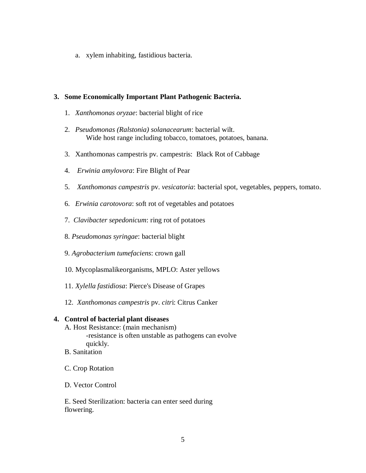a. xylem inhabiting, fastidious bacteria.

### **3. Some Economically Important Plant Pathogenic Bacteria.**

- 1. *Xanthomonas oryzae*: bacterial blight of rice
- 2. *Pseudomonas (Ralstonia) solanacearum*: bacterial wilt. Wide host range including tobacco, tomatoes, potatoes, banana.
- 3. Xanthomonas campestris pv. campestris: Black Rot of Cabbage
- 4. *Erwinia amylovora*: Fire Blight of Pear
- 5. *Xanthomonas campestris* pv. *vesicatoria*: bacterial spot, vegetables, peppers, tomato.
- 6. *Erwinia carotovora*: soft rot of vegetables and potatoes
- 7. *Clavibacter sepedonicum*: ring rot of potatoes
- 8. *Pseudomonas syringae*: bacterial blight
- 9. *Agrobacterium tumefaciens*: crown gall
- 10. Mycoplasmalikeorganisms, MPLO: Aster yellows
- 11. *Xylella fastidiosa*: Pierce's Disease of Grapes
- 12. *Xanthomonas campestris* pv. *citr*i: Citrus Canker

## **4. Control of bacterial plant diseases**

- A. Host Resistance: (main mechanism) -resistance is often unstable as pathogens can evolve quickly.
- B. Sanitation
- C. Crop Rotation
- D. Vector Control

E. Seed Sterilization: bacteria can enter seed during flowering.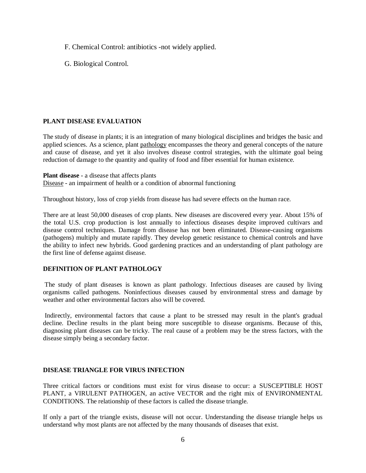F. Chemical Control: antibiotics -not widely applied.

G. Biological Control.

## **PLANT DISEASE EVALUATION**

The study of disease in plants; it is an integration of many biological disciplines and bridges the basic and applied sciences. As a science, plant pathology encompasses the theory and general concepts of the nature and cause of disease, and yet it also involves disease control strategies, with the ultimate goal being reduction of damage to the quantity and quality of food and fiber essential for human existence.

**Plant disease** - a disease that affects plants Disease - an impairment of health or a condition of abnormal functioning

Throughout history, loss of crop yields from disease has had severe effects on the human race.

There are at least 50,000 diseases of crop plants. New diseases are discovered every year. About 15% of the total U.S. crop production is lost annually to infectious diseases despite improved cultivars and disease control techniques. Damage from disease has not been eliminated. Disease-causing organisms (pathogens) multiply and mutate rapidly. They develop genetic resistance to chemical controls and have the ability to infect new hybrids. Good gardening practices and an understanding of plant pathology are the first line of defense against disease.

### **DEFINITION OF PLANT PATHOLOGY**

The study of plant diseases is known as plant pathology. Infectious diseases are caused by living organisms called pathogens. Noninfectious diseases caused by environmental stress and damage by weather and other environmental factors also will be covered.

Indirectly, environmental factors that cause a plant to be stressed may result in the plant's gradual decline. Decline results in the plant being more susceptible to disease organisms. Because of this, diagnosing plant diseases can be tricky. The real cause of a problem may be the stress factors, with the disease simply being a secondary factor.

## **DISEASE TRIANGLE FOR VIRUS INFECTION**

Three critical factors or conditions must exist for virus disease to occur: a SUSCEPTIBLE HOST PLANT, a VIRULENT PATHOGEN, an active VECTOR and the right mix of ENVIRONMENTAL CONDITIONS. The relationship of these factors is called the disease triangle.

If only a part of the triangle exists, disease will not occur. Understanding the disease triangle helps us understand why most plants are not affected by the many thousands of diseases that exist.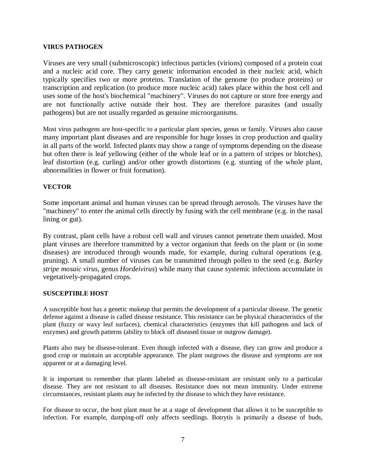#### **VIRUS PATHOGEN**

Viruses are very small (submicroscopic) infectious particles (virions) composed of a protein coat and a nucleic acid core. They carry genetic information encoded in their nucleic acid, which typically specifies two or more proteins. Translation of the genome (to produce proteins) or transcription and replication (to produce more nucleic acid) takes place within the host cell and uses some of the host's biochemical "machinery". Viruses do not capture or store free energy and are not functionally active outside their host. They are therefore parasites (and usually pathogens) but are not usually regarded as genuine microorganisms.

Most virus pathogens are host-specific to a particular plant species, genus or family. Viruses also cause many important plant diseases and are responsible for huge losses in crop production and quality in all parts of the world. Infected plants may show a range of symptoms depending on the disease but often there is leaf yellowing (either of the whole leaf or in a pattern of stripes or blotches), leaf distortion (e.g. curling) and/or other growth distortions (e.g. stunting of the whole plant, abnormalities in flower or fruit formation).

### **VECTOR**

Some important animal and human viruses can be spread through aerosols. The viruses have the "machinery" to enter the animal cells directly by fusing with the cell membrane (e.g. in the nasal lining or gut).

By contrast, plant cells have a robust cell wall and viruses cannot penetrate them unaided. Most plant viruses are therefore transmitted by a vector organism that feeds on the plant or (in some diseases) are introduced through wounds made, for example, during cultural operations (e.g. pruning). A small number of viruses can be transmitted through pollen to the seed (e.g. *Barley stripe mosaic virus*, genus *Hordeivirus*) while many that cause systemic infections accumulate in vegetatively-propagated crops.

#### **SUSCEPTIBLE HOST**

A susceptible host has a genetic makeup that permits the development of a particular disease. The genetic defense against a disease is called disease resistance. This resistance can be physical characteristics of the plant (fuzzy or waxy leaf surfaces), chemical characteristics (enzymes that kill pathogens and lack of enzymes) and growth patterns (ability to block off diseased tissue or outgrow damage).

Plants also may be disease-tolerant. Even though infected with a disease, they can grow and produce a good crop or maintain an acceptable appearance. The plant outgrows the disease and symptoms are not apparent or at a damaging level.

It is important to remember that plants labeled as disease-resistant are resistant only to a particular disease. They are not resistant to all diseases. Resistance does not mean immunity. Under extreme circumstances, resistant plants may be infected by the disease to which they have resistance.

For disease to occur, the host plant must be at a stage of development that allows it to be susceptible to infection. For example, damping-off only affects seedlings. Botrytis is primarily a disease of buds,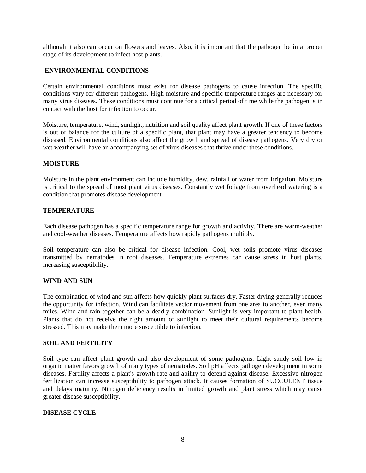although it also can occur on flowers and leaves. Also, it is important that the pathogen be in a proper stage of its development to infect host plants.

### **ENVIRONMENTAL CONDITIONS**

Certain environmental conditions must exist for disease pathogens to cause infection. The specific conditions vary for different pathogens. High moisture and specific temperature ranges are necessary for many virus diseases. These conditions must continue for a critical period of time while the pathogen is in contact with the host for infection to occur.

Moisture, temperature, wind, sunlight, nutrition and soil quality affect plant growth. If one of these factors is out of balance for the culture of a specific plant, that plant may have a greater tendency to become diseased. Environmental conditions also affect the growth and spread of disease pathogens. Very dry or wet weather will have an accompanying set of virus diseases that thrive under these conditions.

#### **MOISTURE**

Moisture in the plant environment can include humidity, dew, rainfall or water from irrigation. Moisture is critical to the spread of most plant virus diseases. Constantly wet foliage from overhead watering is a condition that promotes disease development.

#### **TEMPERATURE**

Each disease pathogen has a specific temperature range for growth and activity. There are warm-weather and cool-weather diseases. Temperature affects how rapidly pathogens multiply.

Soil temperature can also be critical for disease infection. Cool, wet soils promote virus diseases transmitted by nematodes in root diseases. Temperature extremes can cause stress in host plants, increasing susceptibility.

### **WIND AND SUN**

The combination of wind and sun affects how quickly plant surfaces dry. Faster drying generally reduces the opportunity for infection. Wind can facilitate vector movement from one area to another, even many miles. Wind and rain together can be a deadly combination. Sunlight is very important to plant health. Plants that do not receive the right amount of sunlight to meet their cultural requirements become stressed. This may make them more susceptible to infection.

### **SOIL AND FERTILITY**

Soil type can affect plant growth and also development of some pathogens. Light sandy soil low in organic matter favors growth of many types of nematodes. Soil pH affects pathogen development in some diseases. Fertility affects a plant's growth rate and ability to defend against disease. Excessive nitrogen fertilization can increase susceptibility to pathogen attack. It causes formation of SUCCULENT tissue and delays maturity. Nitrogen deficiency results in limited growth and plant stress which may cause greater disease susceptibility.

### **DISEASE CYCLE**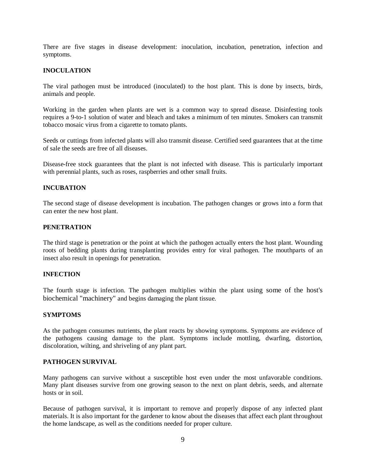There are five stages in disease development: inoculation, incubation, penetration, infection and symptoms.

### **INOCULATION**

The viral pathogen must be introduced (inoculated) to the host plant. This is done by insects, birds, animals and people.

Working in the garden when plants are wet is a common way to spread disease. Disinfesting tools requires a 9-to-1 solution of water and bleach and takes a minimum of ten minutes. Smokers can transmit tobacco mosaic virus from a cigarette to tomato plants.

Seeds or cuttings from infected plants will also transmit disease. Certified seed guarantees that at the time of sale the seeds are free of all diseases.

Disease-free stock guarantees that the plant is not infected with disease. This is particularly important with perennial plants, such as roses, raspberries and other small fruits.

### **INCUBATION**

The second stage of disease development is incubation. The pathogen changes or grows into a form that can enter the new host plant.

#### **PENETRATION**

The third stage is penetration or the point at which the pathogen actually enters the host plant. Wounding roots of bedding plants during transplanting provides entry for viral pathogen. The mouthparts of an insect also result in openings for penetration.

### **INFECTION**

The fourth stage is infection. The pathogen multiplies within the plant using some of the host's biochemical "machinery" and begins damaging the plant tissue.

#### **SYMPTOMS**

As the pathogen consumes nutrients, the plant reacts by showing symptoms. Symptoms are evidence of the pathogens causing damage to the plant. Symptoms include mottling, dwarfing, distortion, discoloration, wilting, and shriveling of any plant part.

#### **PATHOGEN SURVIVAL**

Many pathogens can survive without a susceptible host even under the most unfavorable conditions. Many plant diseases survive from one growing season to the next on plant debris, seeds, and alternate hosts or in soil.

Because of pathogen survival, it is important to remove and properly dispose of any infected plant materials. It is also important for the gardener to know about the diseases that affect each plant throughout the home landscape, as well as the conditions needed for proper culture.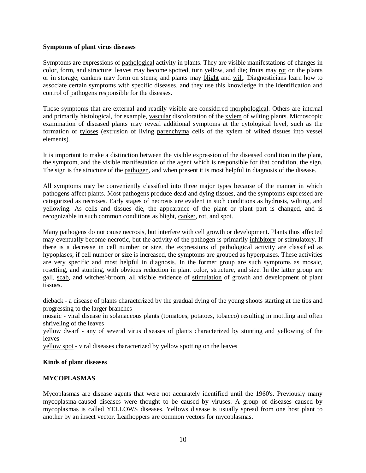#### **Symptoms of plant virus diseases**

Symptoms are expressions of pathological activity in plants. They are visible manifestations of changes in color, form, and structure: leaves may become spotted, turn yellow, and die; fruits may rot on the plants or in storage; cankers may form on stems; and plants may blight and wilt. Diagnosticians learn how to associate certain symptoms with specific diseases, and they use this knowledge in the identification and control of pathogens responsible for the diseases.

Those symptoms that are external and readily visible are considered morphological. Others are internal and primarily histological, for example, vascular discoloration of the xylem of wilting plants. Microscopic examination of diseased plants may reveal additional symptoms at the cytological level, such as the formation of tyloses (extrusion of living parenchyma cells of the xylem of wilted tissues into vessel elements).

It is important to make a distinction between the visible expression of the diseased condition in the plant, the symptom, and the visible manifestation of the agent which is responsible for that condition, the sign. The sign is the structure of the pathogen, and when present it is most helpful in diagnosis of the disease.

All symptoms may be conveniently classified into three major types because of the manner in which pathogens affect plants. Most pathogens produce dead and dying tissues, and the symptoms expressed are categorized as necroses. Early stages of necrosis are evident in such conditions as hydrosis, wilting, and yellowing. As cells and tissues die, the appearance of the plant or plant part is changed, and is recognizable in such common conditions as blight, canker, rot, and spot.

Many pathogens do not cause necrosis, but interfere with cell growth or development. Plants thus affected may eventually become necrotic, but the activity of the pathogen is primarily inhibitory or stimulatory. If there is a decrease in cell number or size, the expressions of pathological activity are classified as hypoplases; if cell number or size is increased, the symptoms are grouped as hyperplases. These activities are very specific and most helpful in diagnosis. In the former group are such symptoms as mosaic, rosetting, and stunting, with obvious reduction in plant color, structure, and size. In the latter group are gall, scab, and witches'-broom, all visible evidence of stimulation of growth and development of plant tissues.

dieback - a disease of plants characterized by the gradual dying of the young shoots starting at the tips and progressing to the larger branches

mosaic - viral disease in solanaceous plants (tomatoes, potatoes, tobacco) resulting in mottling and often shriveling of the leaves

yellow dwarf - any of several virus diseases of plants characterized by stunting and yellowing of the leaves

yellow spot - viral diseases characterized by yellow spotting on the leaves

### **Kinds of plant diseases**

### **MYCOPLASMAS**

Mycoplasmas are disease agents that were not accurately identified until the 1960's. Previously many mycoplasma-caused diseases were thought to be caused by viruses. A group of diseases caused by mycoplasmas is called YELLOWS diseases. Yellows disease is usually spread from one host plant to another by an insect vector. Leafhoppers are common vectors for mycoplasmas.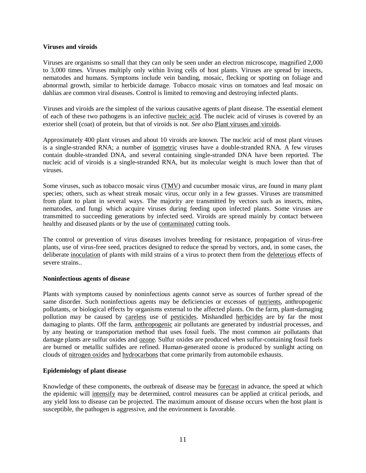#### **Viruses and viroids**

Viruses are organisms so small that they can only be seen under an electron microscope, magnified 2,000 to 3,000 times. Viruses multiply only within living cells of host plants. Viruses are spread by insects, nematodes and humans. Symptoms include vein banding, mosaic, flecking or spotting on foliage and abnormal growth, similar to herbicide damage. Tobacco mosaic virus on tomatoes and leaf mosaic on dahlias are common viral diseases. Control is limited to removing and destroying infected plants.

Viruses and viroids are the simplest of the various causative agents of plant disease. The essential element of each of these two pathogens is an infective nucleic acid. The nucleic acid of viruses is covered by an exterior shell (coat) of protein, but that of viroids is not. *See also* Plant viruses and viroids.

Approximately 400 plant viruses and about 10 viroids are known. The nucleic acid of most plant viruses is a single-stranded RNA; a number of isometric viruses have a double-stranded RNA. A few viruses contain double-stranded DNA, and several containing single-stranded DNA have been reported. The nucleic acid of viroids is a single-stranded RNA, but its molecular weight is much lower than that of viruses.

Some viruses, such as tobacco mosaic virus (TMV) and cucumber mosaic virus, are found in many plant species; others, such as wheat streak mosaic virus, occur only in a few grasses. Viruses are transmitted from plant to plant in several ways. The majority are transmitted by vectors such as insects, mites, nematodes, and fungi which acquire viruses during feeding upon infected plants. Some viruses are transmitted to succeeding generations by infected seed. Viroids are spread mainly by contact between healthy and diseased plants or by the use of contaminated cutting tools.

The control or prevention of virus diseases involves breeding for resistance, propagation of virus-free plants, use of virus-free seed, practices designed to reduce the spread by vectors, and, in some cases, the deliberate inoculation of plants with mild strains of a virus to protect them from the deleterious effects of severe strains..

#### **Noninfectious agents of disease**

Plants with symptoms caused by noninfectious agents cannot serve as sources of further spread of the same disorder. Such noninfectious agents may be deficiencies or excesses of nutrients, anthropogenic pollutants, or biological effects by organisms external to the affected plants. On the farm, plant-damaging pollution may be caused by careless use of pesticides. Mishandled herbicides are by far the most damaging to plants. Off the farm, anthropogenic air pollutants are generated by industrial processes, and by any heating or transportation method that uses fossil fuels. The most common air pollutants that damage plants are sulfur oxides and ozone. Sulfur oxides are produced when sulfur-containing fossil fuels are burned or metallic sulfides are refined. Human-generated ozone is produced by sunlight acting on clouds of nitrogen oxides and hydrocarbons that come primarily from automobile exhausts.

### **Epidemiology of plant disease**

Knowledge of these components, the outbreak of disease may be forecast in advance, the speed at which the epidemic will intensify may be determined, control measures can be applied at critical periods, and any yield loss to disease can be projected. The maximum amount of disease occurs when the host plant is susceptible, the pathogen is aggressive, and the environment is favorable.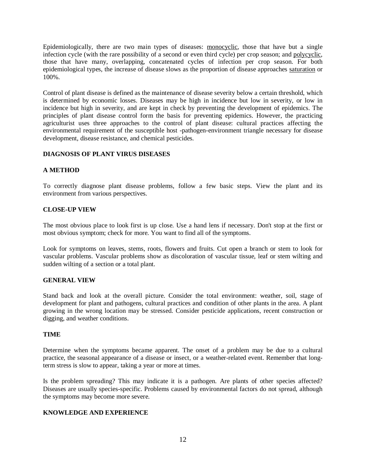Epidemiologically, there are two main types of diseases: monocyclic, those that have but a single infection cycle (with the rare possibility of a second or even third cycle) per crop season; and polycyclic, those that have many, overlapping, concatenated cycles of infection per crop season. For both epidemiological types, the increase of disease slows as the proportion of disease approaches saturation or 100%.

Control of plant disease is defined as the maintenance of disease severity below a certain threshold, which is determined by economic losses. Diseases may be high in incidence but low in severity, or low in incidence but high in severity, and are kept in check by preventing the development of epidemics. The principles of plant disease control form the basis for preventing epidemics. However, the practicing agriculturist uses three approaches to the control of plant disease: cultural practices affecting the environmental requirement of the susceptible host -pathogen-environment triangle necessary for disease development, disease resistance, and chemical pesticides.

### **DIAGNOSIS OF PLANT VIRUS DISEASES**

### **A METHOD**

To correctly diagnose plant disease problems, follow a few basic steps. View the plant and its environment from various perspectives.

#### **CLOSE-UP VIEW**

The most obvious place to look first is up close. Use a hand lens if necessary. Don't stop at the first or most obvious symptom; check for more. You want to find all of the symptoms.

Look for symptoms on leaves, stems, roots, flowers and fruits. Cut open a branch or stem to look for vascular problems. Vascular problems show as discoloration of vascular tissue, leaf or stem wilting and sudden wilting of a section or a total plant.

#### **GENERAL VIEW**

Stand back and look at the overall picture. Consider the total environment: weather, soil, stage of development for plant and pathogens, cultural practices and condition of other plants in the area. A plant growing in the wrong location may be stressed. Consider pesticide applications, recent construction or digging, and weather conditions.

### **TIME**

Determine when the symptoms became apparent. The onset of a problem may be due to a cultural practice, the seasonal appearance of a disease or insect, or a weather-related event. Remember that longterm stress is slow to appear, taking a year or more at times.

Is the problem spreading? This may indicate it is a pathogen. Are plants of other species affected? Diseases are usually species-specific. Problems caused by environmental factors do not spread, although the symptoms may become more severe.

### **KNOWLEDGE AND EXPERIENCE**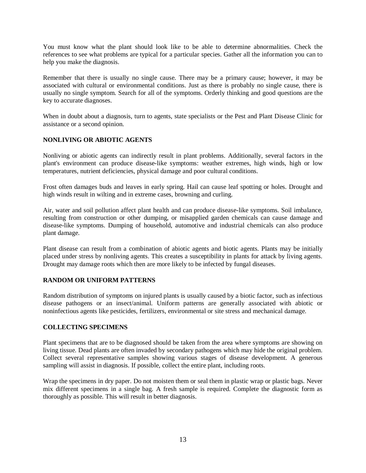You must know what the plant should look like to be able to determine abnormalities. Check the references to see what problems are typical for a particular species. Gather all the information you can to help you make the diagnosis.

Remember that there is usually no single cause. There may be a primary cause; however, it may be associated with cultural or environmental conditions. Just as there is probably no single cause, there is usually no single symptom. Search for all of the symptoms. Orderly thinking and good questions are the key to accurate diagnoses.

When in doubt about a diagnosis, turn to agents, state specialists or the Pest and Plant Disease Clinic for assistance or a second opinion.

### **NONLIVING OR ABIOTIC AGENTS**

Nonliving or abiotic agents can indirectly result in plant problems. Additionally, several factors in the plant's environment can produce disease-like symptoms: weather extremes, high winds, high or low temperatures, nutrient deficiencies, physical damage and poor cultural conditions.

Frost often damages buds and leaves in early spring. Hail can cause leaf spotting or holes. Drought and high winds result in wilting and in extreme cases, browning and curling.

Air, water and soil pollution affect plant health and can produce disease-like symptoms. Soil imbalance, resulting from construction or other dumping, or misapplied garden chemicals can cause damage and disease-like symptoms. Dumping of household, automotive and industrial chemicals can also produce plant damage.

Plant disease can result from a combination of abiotic agents and biotic agents. Plants may be initially placed under stress by nonliving agents. This creates a susceptibility in plants for attack by living agents. Drought may damage roots which then are more likely to be infected by fungal diseases.

### **RANDOM OR UNIFORM PATTERNS**

Random distribution of symptoms on injured plants is usually caused by a biotic factor, such as infectious disease pathogens or an insect/animal. Uniform patterns are generally associated with abiotic or noninfectious agents like pesticides, fertilizers, environmental or site stress and mechanical damage.

### **COLLECTING SPECIMENS**

Plant specimens that are to be diagnosed should be taken from the area where symptoms are showing on living tissue. Dead plants are often invaded by secondary pathogens which may hide the original problem. Collect several representative samples showing various stages of disease development. A generous sampling will assist in diagnosis. If possible, collect the entire plant, including roots.

Wrap the specimens in dry paper. Do not moisten them or seal them in plastic wrap or plastic bags. Never mix different specimens in a single bag. A fresh sample is required. Complete the diagnostic form as thoroughly as possible. This will result in better diagnosis.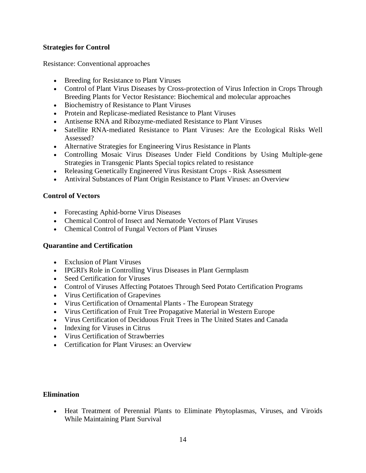## **Strategies for Control**

Resistance: Conventional approaches

- Breeding for Resistance to Plant Viruses
- Control of Plant Virus Diseases by Cross-protection of Virus Infection in Crops Through Breeding Plants for Vector Resistance: Biochemical and molecular approaches
- Biochemistry of Resistance to Plant Viruses
- Protein and Replicase-mediated Resistance to Plant Viruses
- Antisense RNA and Ribozyme-mediated Resistance to Plant Viruses
- Satellite RNA-mediated Resistance to Plant Viruses: Are the Ecological Risks Well Assessed?
- Alternative Strategies for Engineering Virus Resistance in Plants
- Controlling Mosaic Virus Diseases Under Field Conditions by Using Multiple-gene Strategies in Transgenic Plants Special topics related to resistance
- Releasing Genetically Engineered Virus Resistant Crops Risk Assessment
- Antiviral Substances of Plant Origin Resistance to Plant Viruses: an Overview

## **Control of Vectors**

- Forecasting Aphid-borne Virus Diseases
- Chemical Control of Insect and Nematode Vectors of Plant Viruses
- Chemical Control of Fungal Vectors of Plant Viruses

## **Quarantine and Certification**

- Exclusion of Plant Viruses
- IPGRI's Role in Controlling Virus Diseases in Plant Germplasm
- Seed Certification for Viruses
- Control of Viruses Affecting Potatoes Through Seed Potato Certification Programs
- Virus Certification of Grapevines
- Virus Certification of Ornamental Plants The European Strategy
- Virus Certification of Fruit Tree Propagative Material in Western Europe
- Virus Certification of Deciduous Fruit Trees in The United States and Canada
- Indexing for Viruses in Citrus
- Virus Certification of Strawberries
- Certification for Plant Viruses: an Overview

## **Elimination**

 Heat Treatment of Perennial Plants to Eliminate Phytoplasmas, Viruses, and Viroids While Maintaining Plant Survival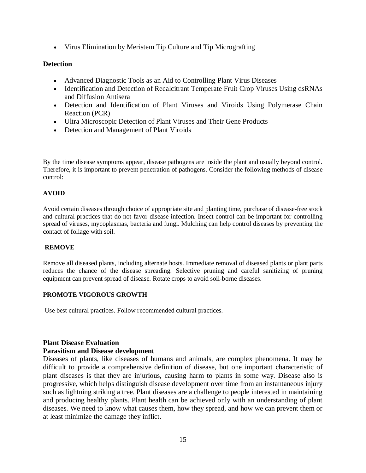Virus Elimination by Meristem Tip Culture and Tip Micrografting

## **Detection**

- Advanced Diagnostic Tools as an Aid to Controlling Plant Virus Diseases
- Identification and Detection of Recalcitrant Temperate Fruit Crop Viruses Using dsRNAs and Diffusion Antisera
- Detection and Identification of Plant Viruses and Viroids Using Polymerase Chain Reaction (PCR)
- Ultra Microscopic Detection of Plant Viruses and Their Gene Products
- Detection and Management of Plant Viroids

By the time disease symptoms appear, disease pathogens are inside the plant and usually beyond control. Therefore, it is important to prevent penetration of pathogens. Consider the following methods of disease control:

## **AVOID**

Avoid certain diseases through choice of appropriate site and planting time, purchase of disease-free stock and cultural practices that do not favor disease infection. Insect control can be important for controlling spread of viruses, mycoplasmas, bacteria and fungi. Mulching can help control diseases by preventing the contact of foliage with soil.

### **REMOVE**

Remove all diseased plants, including alternate hosts. Immediate removal of diseased plants or plant parts reduces the chance of the disease spreading. Selective pruning and careful sanitizing of pruning equipment can prevent spread of disease. Rotate crops to avoid soil-borne diseases.

### **PROMOTE VIGOROUS GROWTH**

Use best cultural practices. Follow recommended cultural practices.

### **Plant Disease Evaluation**

## **Parasitism and Disease development**

Diseases of plants, like diseases of humans and animals, are complex phenomena. It may be difficult to provide a comprehensive definition of disease, but one important characteristic of plant diseases is that they are injurious, causing harm to plants in some way. Disease also is progressive, which helps distinguish disease development over time from an instantaneous injury such as lightning striking a tree. Plant diseases are a challenge to people interested in maintaining and producing healthy plants. Plant health can be achieved only with an understanding of plant diseases. We need to know what causes them, how they spread, and how we can prevent them or at least minimize the damage they inflict.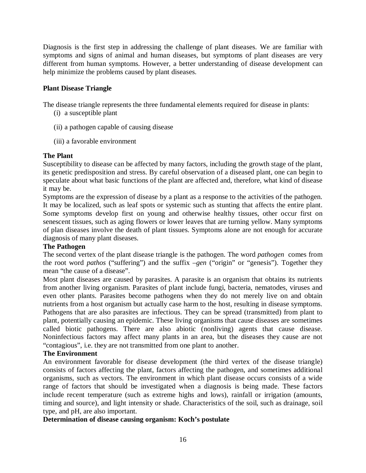Diagnosis is the first step in addressing the challenge of plant diseases. We are familiar with symptoms and signs of animal and human diseases, but symptoms of plant diseases are very different from human symptoms. However, a better understanding of disease development can help minimize the problems caused by plant diseases.

## **Plant Disease Triangle**

The disease triangle represents the three fundamental elements required for disease in plants:

- (i) a susceptible plant
- (ii) a pathogen capable of causing disease
- (iii) a favorable environment

## **The Plant**

Susceptibility to disease can be affected by many factors, including the growth stage of the plant, its genetic predisposition and stress. By careful observation of a diseased plant, one can begin to speculate about what basic functions of the plant are affected and, therefore, what kind of disease it may be.

Symptoms are the expression of disease by a plant as a response to the activities of the pathogen. It may be localized, such as leaf spots or systemic such as stunting that affects the entire plant. Some symptoms develop first on young and otherwise healthy tissues, other occur first on senescent tissues, such as aging flowers or lower leaves that are turning yellow. Many symptoms of plan diseases involve the death of plant tissues. Symptoms alone are not enough for accurate diagnosis of many plant diseases.

## **The Pathogen**

The second vertex of the plant disease triangle is the pathogen. The word *pathogen* comes from the root word *pathos* ("suffering") and the suffix –*gen* ("origin" or "genesis"). Together they mean "the cause of a disease".

Most plant diseases are caused by parasites. A parasite is an organism that obtains its nutrients from another living organism. Parasites of plant include fungi, bacteria, nematodes, viruses and even other plants. Parasites become pathogens when they do not merely live on and obtain nutrients from a host organism but actually case harm to the host, resulting in disease symptoms. Pathogens that are also parasites are infectious. They can be spread (transmitted) from plant to plant, potentially causing an epidemic. These living organisms that cause diseases are sometimes called biotic pathogens. There are also abiotic (nonliving) agents that cause disease. Noninfectious factors may affect many plants in an area, but the diseases they cause are not "contagious", i.e. they are not transmitted from one plant to another.

## **The Environment**

An environment favorable for disease development (the third vertex of the disease triangle) consists of factors affecting the plant, factors affecting the pathogen, and sometimes additional organisms, such as vectors. The environment in which plant disease occurs consists of a wide range of factors that should be investigated when a diagnosis is being made. These factors include recent temperature (such as extreme highs and lows), rainfall or irrigation (amounts, timing and source), and light intensity or shade. Characteristics of the soil, such as drainage, soil type, and pH, are also important.

# **Determination of disease causing organism: Koch's postulate**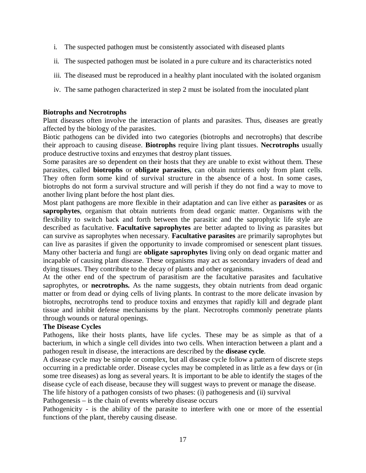- i. The suspected pathogen must be consistently associated with diseased plants
- ii. The suspected pathogen must be isolated in a pure culture and its characteristics noted
- iii. The diseased must be reproduced in a healthy plant inoculated with the isolated organism
- iv. The same pathogen characterized in step 2 must be isolated from the inoculated plant

## **Biotrophs and Necrotrophs**

Plant diseases often involve the interaction of plants and parasites. Thus, diseases are greatly affected by the biology of the parasites.

Biotic pathogens can be divided into two categories (biotrophs and necrotrophs) that describe their approach to causing disease. **Biotrophs** require living plant tissues. **Necrotrophs** usually produce destructive toxins and enzymes that destroy plant tissues.

Some parasites are so dependent on their hosts that they are unable to exist without them. These parasites, called **biotrophs** or **obligate parasites**, can obtain nutrients only from plant cells. They often form some kind of survival structure in the absence of a host. In some cases, biotrophs do not form a survival structure and will perish if they do not find a way to move to another living plant before the host plant dies.

Most plant pathogens are more flexible in their adaptation and can live either as **parasites** or as **saprophytes**, organism that obtain nutrients from dead organic matter. Organisms with the flexibility to switch back and forth between the parasitic and the saprophytic life style are described as facultative. **Facultative saprophytes** are better adapted to living as parasites but can survive as saprophytes when necessary. **Facultative parasites** are primarily saprophytes but can live as parasites if given the opportunity to invade compromised or senescent plant tissues. Many other bacteria and fungi are **obligate saprophytes** living only on dead organic matter and incapable of causing plant disease. These organisms may act as secondary invaders of dead and dying tissues. They contribute to the decay of plants and other organisms.

At the other end of the spectrum of parasitism are the facultative parasites and facultative saprophytes, or **necrotrophs.** As the name suggests, they obtain nutrients from dead organic matter or from dead or dying cells of living plants. In contrast to the more delicate invasion by biotrophs, necrotrophs tend to produce toxins and enzymes that rapidly kill and degrade plant tissue and inhibit defense mechanisms by the plant. Necrotrophs commonly penetrate plants through wounds or natural openings.

## **The Disease Cycles**

Pathogens, like their hosts plants, have life cycles. These may be as simple as that of a bacterium, in which a single cell divides into two cells. When interaction between a plant and a pathogen result in disease, the interactions are described by the **disease cycle**.

A disease cycle may be simple or complex, but all disease cycle follow a pattern of discrete steps occurring in a predictable order. Disease cycles may be completed in as little as a few days or (in some tree diseases) as long as several years. It is important to be able to identify the stages of the disease cycle of each disease, because they will suggest ways to prevent or manage the disease.

The life history of a pathogen consists of two phases: (i) pathogenesis and (ii) survival

Pathogenesis – is the chain of events whereby disease occurs

Pathogenicity - is the ability of the parasite to interfere with one or more of the essential functions of the plant, thereby causing disease.